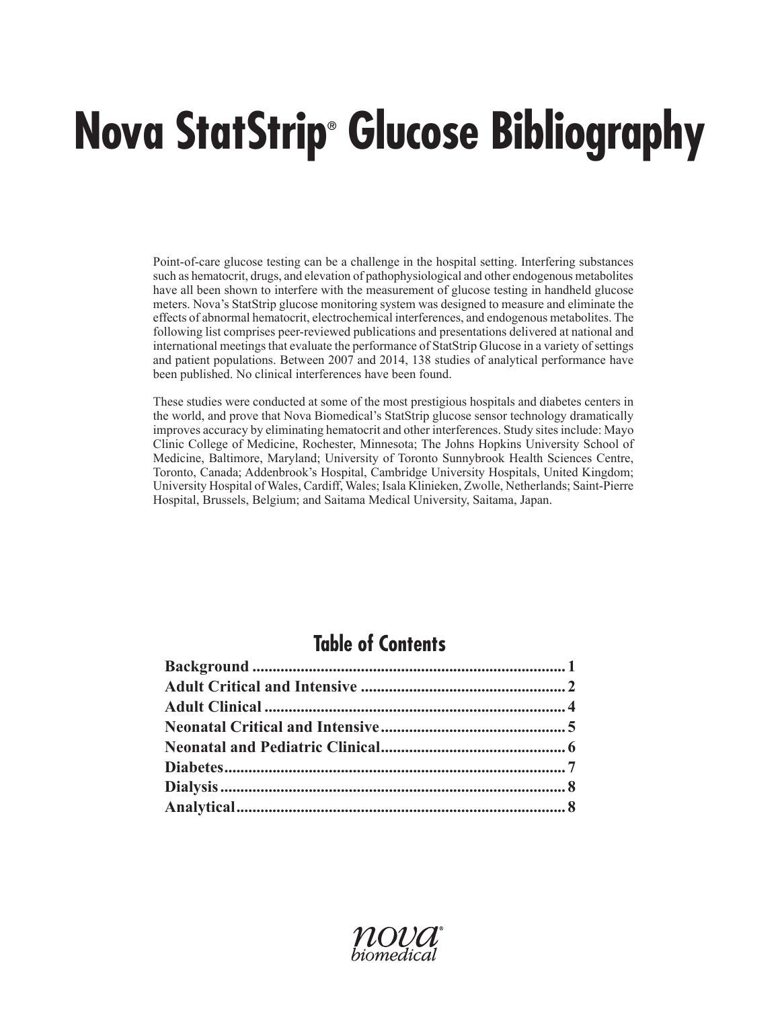# **Nova StatStrip® Glucose Bibliography**

Point-of-care glucose testing can be a challenge in the hospital setting. Interfering substances such as hematocrit, drugs, and elevation of pathophysiological and other endogenous metabolites have all been shown to interfere with the measurement of glucose testing in handheld glucose meters. Nova's StatStrip glucose monitoring system was designed to measure and eliminate the effects of abnormal hematocrit, electrochemical interferences, and endogenous metabolites. The following list comprises peer-reviewed publications and presentations delivered at national and international meetings that evaluate the performance of StatStrip Glucose in a variety of settings and patient populations. Between 2007 and 2014, 138 studies of analytical performance have been published. No clinical interferences have been found.

These studies were conducted at some of the most prestigious hospitals and diabetes centers in the world, and prove that Nova Biomedical's StatStrip glucose sensor technology dramatically improves accuracy by eliminating hematocrit and other interferences. Study sites include: Mayo Clinic College of Medicine, Rochester, Minnesota; The Johns Hopkins University School of Medicine, Baltimore, Maryland; University of Toronto Sunnybrook Health Sciences Centre, Toronto, Canada; Addenbrook's Hospital, Cambridge University Hospitals, United Kingdom; University Hospital of Wales, Cardiff, Wales; Isala Klinieken, Zwolle, Netherlands; Saint-Pierre Hospital, Brussels, Belgium; and Saitama Medical University, Saitama, Japan.

# **Table of Contents**

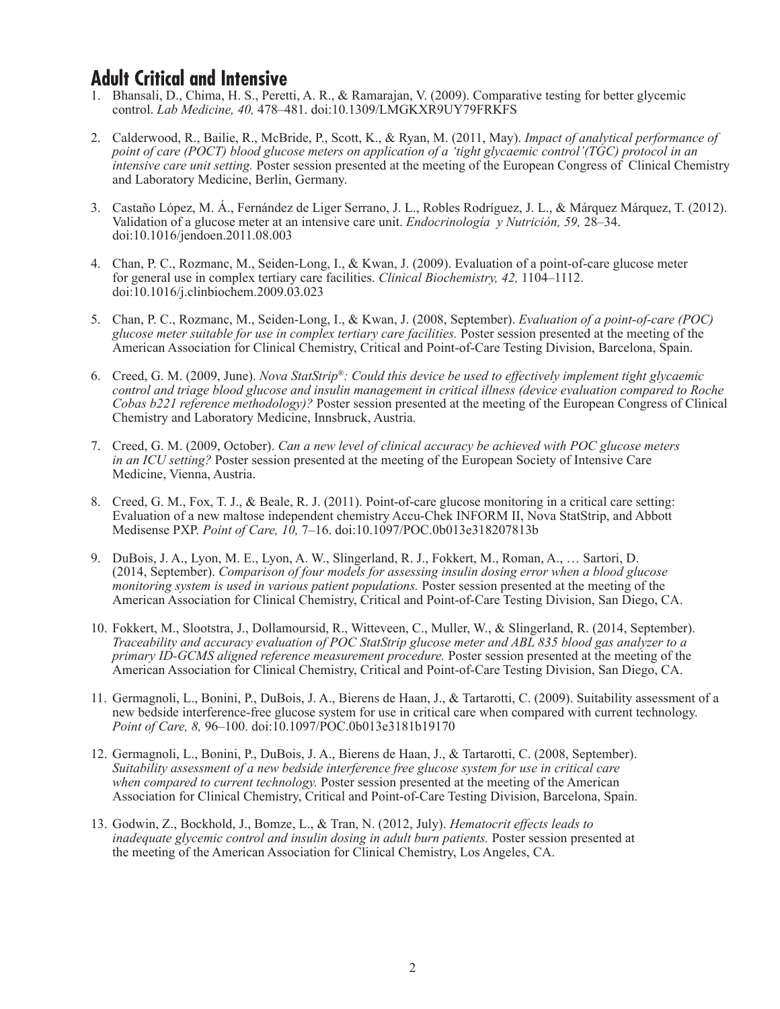#### **Adult Critical and Intensive**

- 1. Bhansali, D., Chima, H. S., Peretti, A. R., & Ramarajan, V. (2009). Comparative testing for better glycemic control. *Lab Medicine, 40,* 478–481. doi:10.1309/LMGKXR9UY79FRKFS
- 2. Calderwood, R., Bailie, R., McBride, P., Scott, K., & Ryan, M. (2011, May). *Impact of analytical performance of point of care (POCT) blood glucose meters on application of a 'tight glycaemic control'(TGC) protocol in an intensive care unit setting.* Poster session presented at the meeting of the European Congress of Clinical Chemistry and Laboratory Medicine, Berlin, Germany.
- 3. Castaño López, M. Á., Fernández de Liger Serrano, J. L., Robles Rodríguez, J. L., & Márquez Márquez, T. (2012). Validation of a glucose meter at an intensive care unit. *Endocrinología y Nutrición, 59,* 28–34. doi:10.1016/jendoen.2011.08.003
- 4. Chan, P. C., Rozmanc, M., Seiden-Long, I., & Kwan, J. (2009). Evaluation of a point-of-care glucose meter for general use in complex tertiary care facilities. *Clinical Biochemistry, 42,* 1104–1112. doi:10.1016/j.clinbiochem.2009.03.023
- 5. Chan, P. C., Rozmanc, M., Seiden-Long, I., & Kwan, J. (2008, September). *Evaluation of a point-of-care (POC) glucose meter suitable for use in complex tertiary care facilities.* Poster session presented at the meeting of the American Association for Clinical Chemistry, Critical and Point-of-Care Testing Division, Barcelona, Spain.
- 6. Creed, G. M. (2009, June). *Nova StatStrip®: Could this device be used to effectively implement tight glycaemic control and triage blood glucose and insulin management in critical illness (device evaluation compared to Roche Cobas b221 reference methodology)?* Poster session presented at the meeting of the European Congress of Clinical Chemistry and Laboratory Medicine, Innsbruck, Austria.
- 7. Creed, G. M. (2009, October). *Can a new level of clinical accuracy be achieved with POC glucose meters in an ICU setting?* Poster session presented at the meeting of the European Society of Intensive Care Medicine, Vienna, Austria.
- 8. Creed, G. M., Fox, T. J., & Beale, R. J. (2011). Point-of-care glucose monitoring in a critical care setting: Evaluation of a new maltose independent chemistry Accu-Chek INFORM II, Nova StatStrip, and Abbott Medisense PXP. *Point of Care, 10,* 7–16. doi:10.1097/POC.0b013e318207813b
- 9. DuBois, J. A., Lyon, M. E., Lyon, A. W., Slingerland, R. J., Fokkert, M., Roman, A., … Sartori, D. (2014, September). *Comparison of four models for assessing insulin dosing error when a blood glucose monitoring system is used in various patient populations.* Poster session presented at the meeting of the American Association for Clinical Chemistry, Critical and Point-of-Care Testing Division, San Diego, CA.
- 10. Fokkert, M., Slootstra, J., Dollamoursid, R., Witteveen, C., Muller, W., & Slingerland, R. (2014, September). *Traceability and accuracy evaluation of POC StatStrip glucose meter and ABL 835 blood gas analyzer to a primary ID-GCMS aligned reference measurement procedure.* Poster session presented at the meeting of the American Association for Clinical Chemistry, Critical and Point-of-Care Testing Division, San Diego, CA.
- 11. Germagnoli, L., Bonini, P., DuBois, J. A., Bierens de Haan, J., & Tartarotti, C. (2009). Suitability assessment of a new bedside interference-free glucose system for use in critical care when compared with current technology. *Point of Care, 8,* 96–100. doi:10.1097/POC.0b013e3181b19170
- 12. Germagnoli, L., Bonini, P., DuBois, J. A., Bierens de Haan, J., & Tartarotti, C. (2008, September). *Suitability assessment of a new bedside interference free glucose system for use in critical care when compared to current technology.* Poster session presented at the meeting of the American Association for Clinical Chemistry, Critical and Point-of-Care Testing Division, Barcelona, Spain.
- 13. Godwin, Z., Bockhold, J., Bomze, L., & Tran, N. (2012, July). *Hematocrit effects leads to inadequate glycemic control and insulin dosing in adult burn patients.* Poster session presented at the meeting of the American Association for Clinical Chemistry, Los Angeles, CA.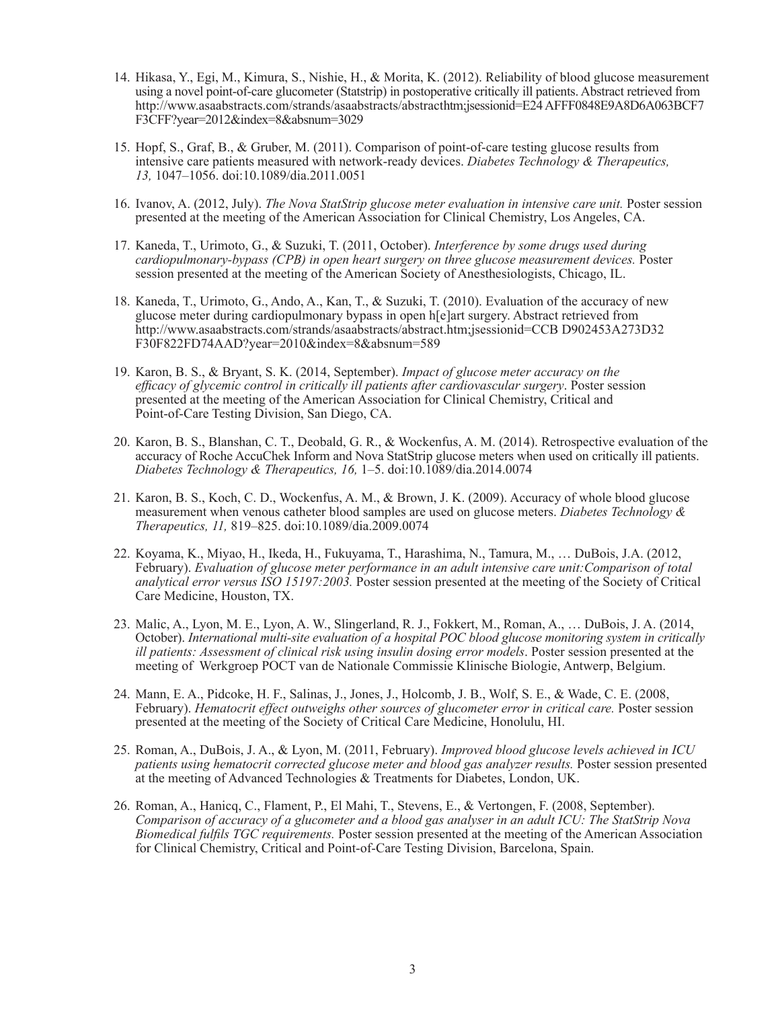- 14. Hikasa, Y., Egi, M., Kimura, S., Nishie, H., & Morita, K. (2012). Reliability of blood glucose measurement using a novel point-of-care glucometer (Statstrip) in postoperative critically ill patients. Abstract retrieved from http://www.asaabstracts.com/strands/asaabstracts/abstracthtm;jsessionid=E24 AFFF0848E9A8D6A063BCF7 F3CFF?year=2012&index=8&absnum=3029
- 15. Hopf, S., Graf, B., & Gruber, M. (2011). Comparison of point-of-care testing glucose results from intensive care patients measured with network-ready devices. *Diabetes Technology & Therapeutics, 13,* 1047–1056. doi:10.1089/dia.2011.0051
- 16. Ivanov, A. (2012, July). *The Nova StatStrip glucose meter evaluation in intensive care unit.* Poster session presented at the meeting of the American Association for Clinical Chemistry, Los Angeles, CA.
- 17. Kaneda, T., Urimoto, G., & Suzuki, T. (2011, October). *Interference by some drugs used during cardiopulmonary-bypass (CPB) in open heart surgery on three glucose measurement devices.* Poster session presented at the meeting of the American Society of Anesthesiologists, Chicago, IL.
- 18. Kaneda, T., Urimoto, G., Ando, A., Kan, T., & Suzuki, T. (2010). Evaluation of the accuracy of new glucose meter during cardiopulmonary bypass in open h[e]art surgery. Abstract retrieved from http://www.asaabstracts.com/strands/asaabstracts/abstract.htm;jsessionid=CCB D902453A273D32 F30F822FD74AAD?year=2010&index=8&absnum=589
- 19. Karon, B. S., & Bryant, S. K. (2014, September). *Impact of glucose meter accuracy on the efficacy of glycemic control in critically ill patients after cardiovascular surgery*. Poster session presented at the meeting of the American Association for Clinical Chemistry, Critical and Point-of-Care Testing Division, San Diego, CA.
- 20. Karon, B. S., Blanshan, C. T., Deobald, G. R., & Wockenfus, A. M. (2014). Retrospective evaluation of the accuracy of Roche AccuChek Inform and Nova StatStrip glucose meters when used on critically ill patients. *Diabetes Technology & Therapeutics, 16,* 1–5. doi:10.1089/dia.2014.0074
- 21. Karon, B. S., Koch, C. D., Wockenfus, A. M., & Brown, J. K. (2009). Accuracy of whole blood glucose measurement when venous catheter blood samples are used on glucose meters. *Diabetes Technology & Therapeutics, 11,* 819–825. doi:10.1089/dia.2009.0074
- 22. Koyama, K., Miyao, H., Ikeda, H., Fukuyama, T., Harashima, N., Tamura, M., … DuBois, J.A. (2012, February). *Evaluation of glucose meter performance in an adult intensive care unit:Comparison of total analytical error versus ISO 15197:2003.* Poster session presented at the meeting of the Society of Critical Care Medicine, Houston, TX.
- 23. Malic, A., Lyon, M. E., Lyon, A. W., Slingerland, R. J., Fokkert, M., Roman, A., … DuBois, J. A. (2014, October). *International multi-site evaluation of a hospital POC blood glucose monitoring system in critically ill patients: Assessment of clinical risk using insulin dosing error models*. Poster session presented at the meeting of Werkgroep POCT van de Nationale Commissie Klinische Biologie, Antwerp, Belgium.
- 24. Mann, E. A., Pidcoke, H. F., Salinas, J., Jones, J., Holcomb, J. B., Wolf, S. E., & Wade, C. E. (2008, February). *Hematocrit effect outweighs other sources of glucometer error in critical care.* Poster session presented at the meeting of the Society of Critical Care Medicine, Honolulu, HI.
- 25. Roman, A., DuBois, J. A., & Lyon, M. (2011, February). *Improved blood glucose levels achieved in ICU patients using hematocrit corrected glucose meter and blood gas analyzer results.* Poster session presented at the meeting of Advanced Technologies & Treatments for Diabetes, London, UK.
- 26. Roman, A., Hanicq, C., Flament, P., El Mahi, T., Stevens, E., & Vertongen, F. (2008, September). *Comparison of accuracy of a glucometer and a blood gas analyser in an adult ICU: The StatStrip Nova Biomedical fulfils TGC requirements.* Poster session presented at the meeting of the American Association for Clinical Chemistry, Critical and Point-of-Care Testing Division, Barcelona, Spain.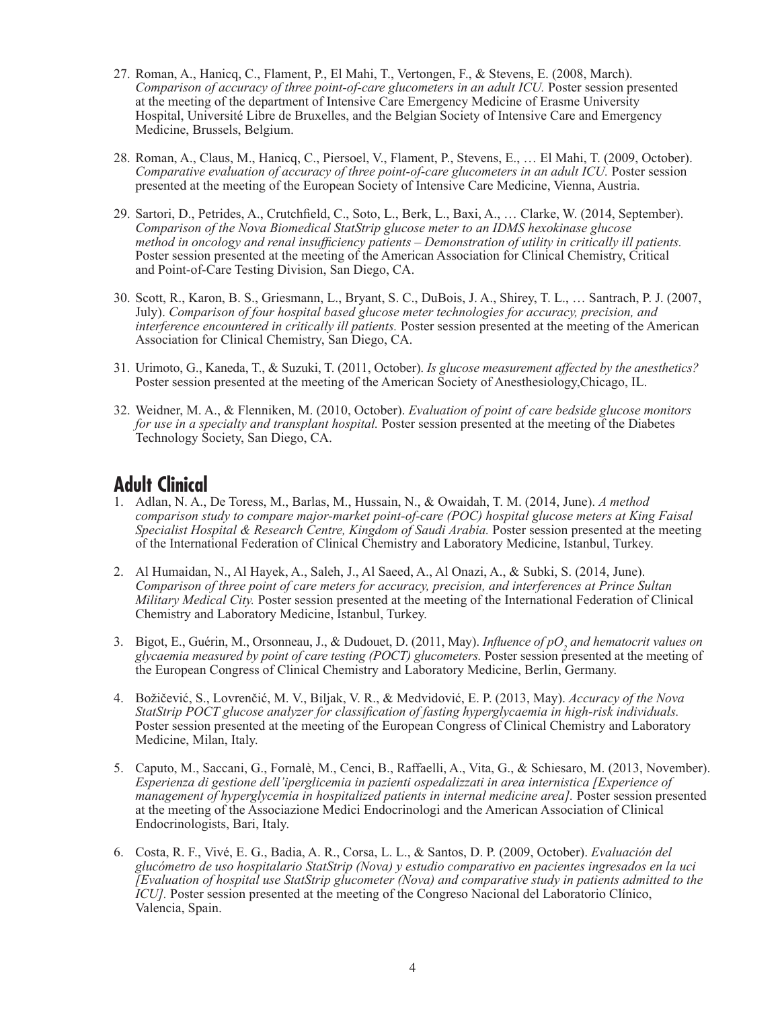- 27. Roman, A., Hanicq, C., Flament, P., El Mahi, T., Vertongen, F., & Stevens, E. (2008, March). *Comparison of accuracy of three point-of-care glucometers in an adult ICU.* Poster session presented at the meeting of the department of Intensive Care Emergency Medicine of Erasme University Hospital, Université Libre de Bruxelles, and the Belgian Society of Intensive Care and Emergency Medicine, Brussels, Belgium.
- 28. Roman, A., Claus, M., Hanicq, C., Piersoel, V., Flament, P., Stevens, E., … El Mahi, T. (2009, October). *Comparative evaluation of accuracy of three point-of-care glucometers in an adult ICU.* Poster session presented at the meeting of the European Society of Intensive Care Medicine, Vienna, Austria.
- 29. Sartori, D., Petrides, A., Crutchfield, C., Soto, L., Berk, L., Baxi, A., … Clarke, W. (2014, September). *Comparison of the Nova Biomedical StatStrip glucose meter to an IDMS hexokinase glucose method in oncology and renal insufficiency patients – Demonstration of utility in critically ill patients.* Poster session presented at the meeting of the American Association for Clinical Chemistry, Critical and Point-of-Care Testing Division, San Diego, CA.
- 30. Scott, R., Karon, B. S., Griesmann, L., Bryant, S. C., DuBois, J. A., Shirey, T. L., … Santrach, P. J. (2007, July). *Comparison of four hospital based glucose meter technologies for accuracy, precision, and interference encountered in critically ill patients.* Poster session presented at the meeting of the American Association for Clinical Chemistry, San Diego, CA.
- 31. Urimoto, G., Kaneda, T., & Suzuki, T. (2011, October). *Is glucose measurement affected by the anesthetics?* Poster session presented at the meeting of the American Society of Anesthesiology,Chicago, IL.
- 32. Weidner, M. A., & Flenniken, M. (2010, October). *Evaluation of point of care bedside glucose monitors for use in a specialty and transplant hospital.* Poster session presented at the meeting of the Diabetes Technology Society, San Diego, CA.

### **Adult Clinical**

- 1. Adlan, N. A., De Toress, M., Barlas, M., Hussain, N., & Owaidah, T. M. (2014, June). *A method comparison study to compare major-market point-of-care (POC) hospital glucose meters at King Faisal Specialist Hospital & Research Centre, Kingdom of Saudi Arabia.* Poster session presented at the meeting of the International Federation of Clinical Chemistry and Laboratory Medicine, Istanbul, Turkey.
- 2. Al Humaidan, N., Al Hayek, A., Saleh, J., Al Saeed, A., Al Onazi, A., & Subki, S. (2014, June). *Comparison of three point of care meters for accuracy, precision, and interferences at Prince Sultan Military Medical City.* Poster session presented at the meeting of the International Federation of Clinical Chemistry and Laboratory Medicine, Istanbul, Turkey.
- 3. Bigot, E., Guérin, M., Orsonneau, J., & Dudouet, D. (2011, May). *Influence of pO<sup>2</sup> and hematocrit values on glycaemia measured by point of care testing (POCT) glucometers.* Poster session presented at the meeting of the European Congress of Clinical Chemistry and Laboratory Medicine, Berlin, Germany.
- 4. Božičević, S., Lovrenčić, M. V., Biljak, V. R., & Medvidović, E. P. (2013, May). *Accuracy of the Nova StatStrip POCT glucose analyzer for classification of fasting hyperglycaemia in high-risk individuals.* Poster session presented at the meeting of the European Congress of Clinical Chemistry and Laboratory Medicine, Milan, Italy.
- 5. Caputo, M., Saccani, G., Fornalè, M., Cenci, B., Raffaelli, A., Vita, G., & Schiesaro, M. (2013, November). *Esperienza di gestione dell'iperglicemia in pazienti ospedalizzati in area internistica [Experience of management of hyperglycemia in hospitalized patients in internal medicine area].* Poster session presented at the meeting of the Associazione Medici Endocrinologi and the American Association of Clinical Endocrinologists, Bari, Italy.
- 6. Costa, R. F., Vivé, E. G., Badia, A. R., Corsa, L. L., & Santos, D. P. (2009, October). *Evaluación del glucómetro de uso hospitalario StatStrip (Nova) y estudio comparativo en pacientes ingresados en la uci [Evaluation of hospital use StatStrip glucometer (Nova) and comparative study in patients admitted to the ICU].* Poster session presented at the meeting of the Congreso Nacional del Laboratorio Clínico, Valencia, Spain.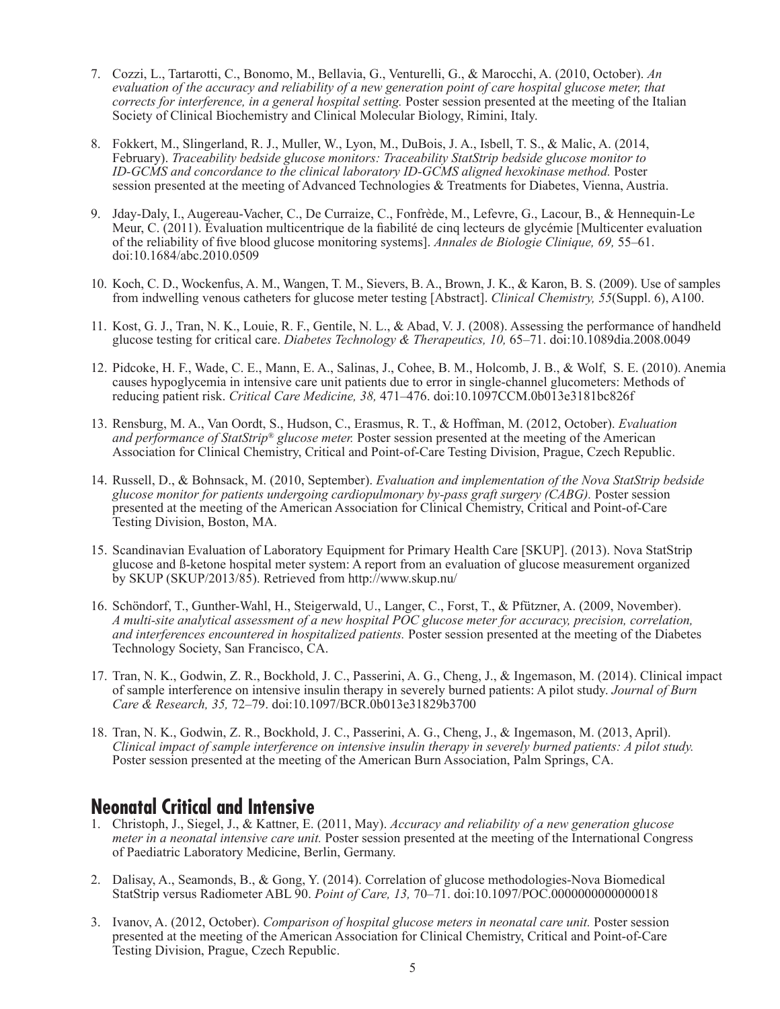- 7. Cozzi, L., Tartarotti, C., Bonomo, M., Bellavia, G., Venturelli, G., & Marocchi, A. (2010, October). *An evaluation of the accuracy and reliability of a new generation point of care hospital glucose meter, that corrects for interference, in a general hospital setting.* Poster session presented at the meeting of the Italian Society of Clinical Biochemistry and Clinical Molecular Biology, Rimini, Italy.
- 8. Fokkert, M., Slingerland, R. J., Muller, W., Lyon, M., DuBois, J. A., Isbell, T. S., & Malic, A. (2014, February). *Traceability bedside glucose monitors: Traceability StatStrip bedside glucose monitor to ID-GCMS and concordance to the clinical laboratory ID-GCMS aligned hexokinase method.* Poster session presented at the meeting of Advanced Technologies & Treatments for Diabetes, Vienna, Austria.
- 9. Jday-Daly, I., Augereau-Vacher, C., De Curraize, C., Fonfrède, M., Lefevre, G., Lacour, B., & Hennequin-Le Meur, C. (2011). Évaluation multicentrique de la fiabilité de cinq lecteurs de glycémie [Multicenter evaluation of the reliability of five blood glucose monitoring systems]. *Annales de Biologie Clinique, 69,* 55–61. doi:10.1684/abc.2010.0509
- 10. Koch, C. D., Wockenfus, A. M., Wangen, T. M., Sievers, B. A., Brown, J. K., & Karon, B. S. (2009). Use of samples from indwelling venous catheters for glucose meter testing [Abstract]. *Clinical Chemistry, 55*(Suppl. 6), A100.
- 11. Kost, G. J., Tran, N. K., Louie, R. F., Gentile, N. L., & Abad, V. J. (2008). Assessing the performance of handheld glucose testing for critical care. *Diabetes Technology & Therapeutics, 10,* 65–71. doi:10.1089dia.2008.0049
- 12. Pidcoke, H. F., Wade, C. E., Mann, E. A., Salinas, J., Cohee, B. M., Holcomb, J. B., & Wolf, S. E. (2010). Anemia causes hypoglycemia in intensive care unit patients due to error in single-channel glucometers: Methods of reducing patient risk. *Critical Care Medicine, 38,* 471–476. doi:10.1097CCM.0b013e3181bc826f
- 13. Rensburg, M. A., Van Oordt, S., Hudson, C., Erasmus, R. T., & Hoffman, M. (2012, October). *Evaluation and performance of StatStrip® glucose meter.* Poster session presented at the meeting of the American Association for Clinical Chemistry, Critical and Point-of-Care Testing Division, Prague, Czech Republic.
- 14. Russell, D., & Bohnsack, M. (2010, September). *Evaluation and implementation of the Nova StatStrip bedside glucose monitor for patients undergoing cardiopulmonary by-pass graft surgery (CABG).* Poster session presented at the meeting of the American Association for Clinical Chemistry, Critical and Point-of-Care Testing Division, Boston, MA.
- 15. Scandinavian Evaluation of Laboratory Equipment for Primary Health Care [SKUP]. (2013). Nova StatStrip glucose and ß-ketone hospital meter system: A report from an evaluation of glucose measurement organized by SKUP (SKUP/2013/85). Retrieved from http://www.skup.nu/
- 16. Schöndorf, T., Gunther-Wahl, H., Steigerwald, U., Langer, C., Forst, T., & Pfützner, A. (2009, November). *A multi-site analytical assessment of a new hospital POC glucose meter for accuracy, precision, correlation, and interferences encountered in hospitalized patients.* Poster session presented at the meeting of the Diabetes Technology Society, San Francisco, CA.
- 17. Tran, N. K., Godwin, Z. R., Bockhold, J. C., Passerini, A. G., Cheng, J., & Ingemason, M. (2014). Clinical impact of sample interference on intensive insulin therapy in severely burned patients: A pilot study. *Journal of Burn Care & Research, 35,* 72–79. doi:10.1097/BCR.0b013e31829b3700
- 18. Tran, N. K., Godwin, Z. R., Bockhold, J. C., Passerini, A. G., Cheng, J., & Ingemason, M. (2013, April). *Clinical impact of sample interference on intensive insulin therapy in severely burned patients: A pilot study.* Poster session presented at the meeting of the American Burn Association, Palm Springs, CA.

#### **Neonatal Critical and Intensive**

- 1. Christoph, J., Siegel, J., & Kattner, E. (2011, May). *Accuracy and reliability of a new generation glucose meter in a neonatal intensive care unit.* Poster session presented at the meeting of the International Congress of Paediatric Laboratory Medicine, Berlin, Germany.
- 2. Dalisay, A., Seamonds, B., & Gong, Y. (2014). Correlation of glucose methodologies-Nova Biomedical StatStrip versus Radiometer ABL 90. *Point of Care, 13,* 70–71. doi:10.1097/POC.0000000000000018
- 3. Ivanov, A. (2012, October). *Comparison of hospital glucose meters in neonatal care unit.* Poster session presented at the meeting of the American Association for Clinical Chemistry, Critical and Point-of-Care Testing Division, Prague, Czech Republic.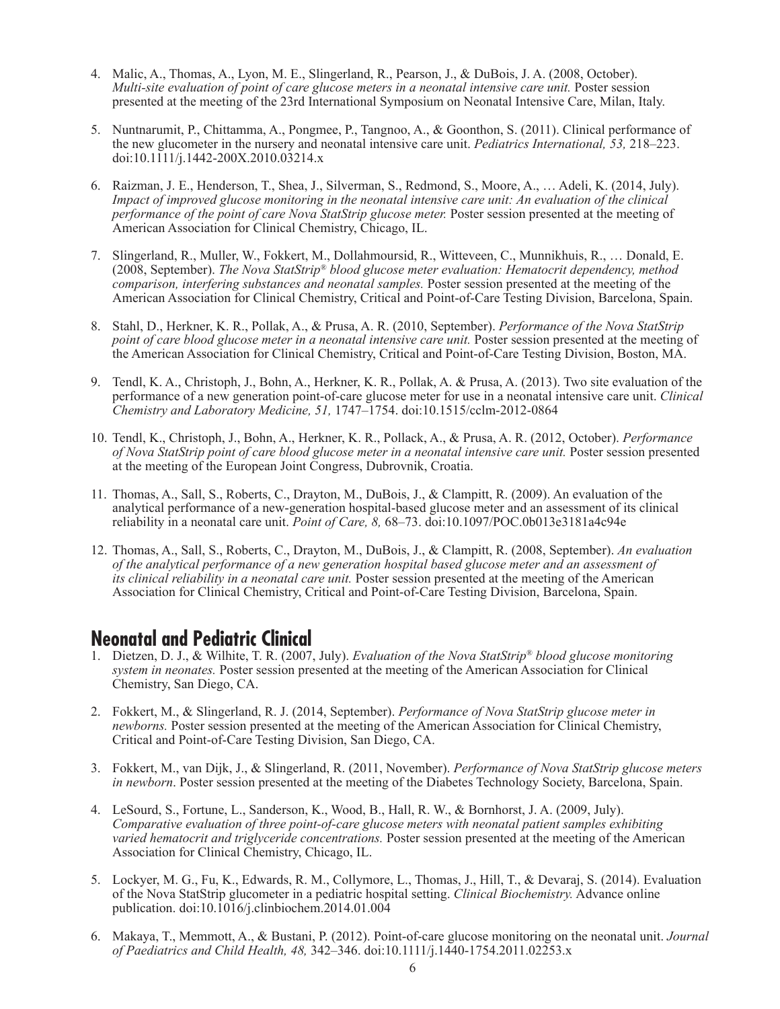- 4. Malic, A., Thomas, A., Lyon, M. E., Slingerland, R., Pearson, J., & DuBois, J. A. (2008, October). *Multi-site evaluation of point of care glucose meters in a neonatal intensive care unit.* Poster session presented at the meeting of the 23rd International Symposium on Neonatal Intensive Care, Milan, Italy.
- 5. Nuntnarumit, P., Chittamma, A., Pongmee, P., Tangnoo, A., & Goonthon, S. (2011). Clinical performance of the new glucometer in the nursery and neonatal intensive care unit. *Pediatrics International, 53,* 218–223. doi:10.1111/j.1442-200X.2010.03214.x
- 6. Raizman, J. E., Henderson, T., Shea, J., Silverman, S., Redmond, S., Moore, A., … Adeli, K. (2014, July). *Impact of improved glucose monitoring in the neonatal intensive care unit: An evaluation of the clinical performance of the point of care Nova StatStrip glucose meter.* Poster session presented at the meeting of American Association for Clinical Chemistry, Chicago, IL.
- 7. Slingerland, R., Muller, W., Fokkert, M., Dollahmoursid, R., Witteveen, C., Munnikhuis, R., … Donald, E. (2008, September). *The Nova StatStrip® blood glucose meter evaluation: Hematocrit dependency, method comparison, interfering substances and neonatal samples.* Poster session presented at the meeting of the American Association for Clinical Chemistry, Critical and Point-of-Care Testing Division, Barcelona, Spain.
- 8. Stahl, D., Herkner, K. R., Pollak, A., & Prusa, A. R. (2010, September). *Performance of the Nova StatStrip point of care blood glucose meter in a neonatal intensive care unit.* Poster session presented at the meeting of the American Association for Clinical Chemistry, Critical and Point-of-Care Testing Division, Boston, MA.
- 9. Tendl, K. A., Christoph, J., Bohn, A., Herkner, K. R., Pollak, A. & Prusa, A. (2013). Two site evaluation of the performance of a new generation point-of-care glucose meter for use in a neonatal intensive care unit. *Clinical Chemistry and Laboratory Medicine, 51,* 1747–1754. doi:10.1515/cclm-2012-0864
- 10. Tendl, K., Christoph, J., Bohn, A., Herkner, K. R., Pollack, A., & Prusa, A. R. (2012, October). *Performance of Nova StatStrip point of care blood glucose meter in a neonatal intensive care unit.* Poster session presented at the meeting of the European Joint Congress, Dubrovnik, Croatia.
- 11. Thomas, A., Sall, S., Roberts, C., Drayton, M., DuBois, J., & Clampitt, R. (2009). An evaluation of the analytical performance of a new-generation hospital-based glucose meter and an assessment of its clinical reliability in a neonatal care unit. *Point of Care, 8,* 68–73. doi:10.1097/POC.0b013e3181a4c94e
- 12. Thomas, A., Sall, S., Roberts, C., Drayton, M., DuBois, J., & Clampitt, R. (2008, September). *An evaluation of the analytical performance of a new generation hospital based glucose meter and an assessment of its clinical reliability in a neonatal care unit.* Poster session presented at the meeting of the American Association for Clinical Chemistry, Critical and Point-of-Care Testing Division, Barcelona, Spain.

#### **Neonatal and Pediatric Clinical**

- 1. Dietzen, D. J., & Wilhite, T. R. (2007, July). *Evaluation of the Nova StatStrip® blood glucose monitoring system in neonates.* Poster session presented at the meeting of the American Association for Clinical Chemistry, San Diego, CA.
- 2. Fokkert, M., & Slingerland, R. J. (2014, September). *Performance of Nova StatStrip glucose meter in newborns.* Poster session presented at the meeting of the American Association for Clinical Chemistry, Critical and Point-of-Care Testing Division, San Diego, CA.
- 3. Fokkert, M., van Dijk, J., & Slingerland, R. (2011, November). *Performance of Nova StatStrip glucose meters in newborn*. Poster session presented at the meeting of the Diabetes Technology Society, Barcelona, Spain.
- 4. LeSourd, S., Fortune, L., Sanderson, K., Wood, B., Hall, R. W., & Bornhorst, J. A. (2009, July). *Comparative evaluation of three point-of-care glucose meters with neonatal patient samples exhibiting varied hematocrit and triglyceride concentrations.* Poster session presented at the meeting of the American Association for Clinical Chemistry, Chicago, IL.
- 5. Lockyer, M. G., Fu, K., Edwards, R. M., Collymore, L., Thomas, J., Hill, T., & Devaraj, S. (2014). Evaluation of the Nova StatStrip glucometer in a pediatric hospital setting. *Clinical Biochemistry.* Advance online publication. doi:10.1016/j.clinbiochem.2014.01.004
- 6. Makaya, T., Memmott, A., & Bustani, P. (2012). Point-of-care glucose monitoring on the neonatal unit. *Journal of Paediatrics and Child Health, 48,* 342–346. doi:10.1111/j.1440-1754.2011.02253.x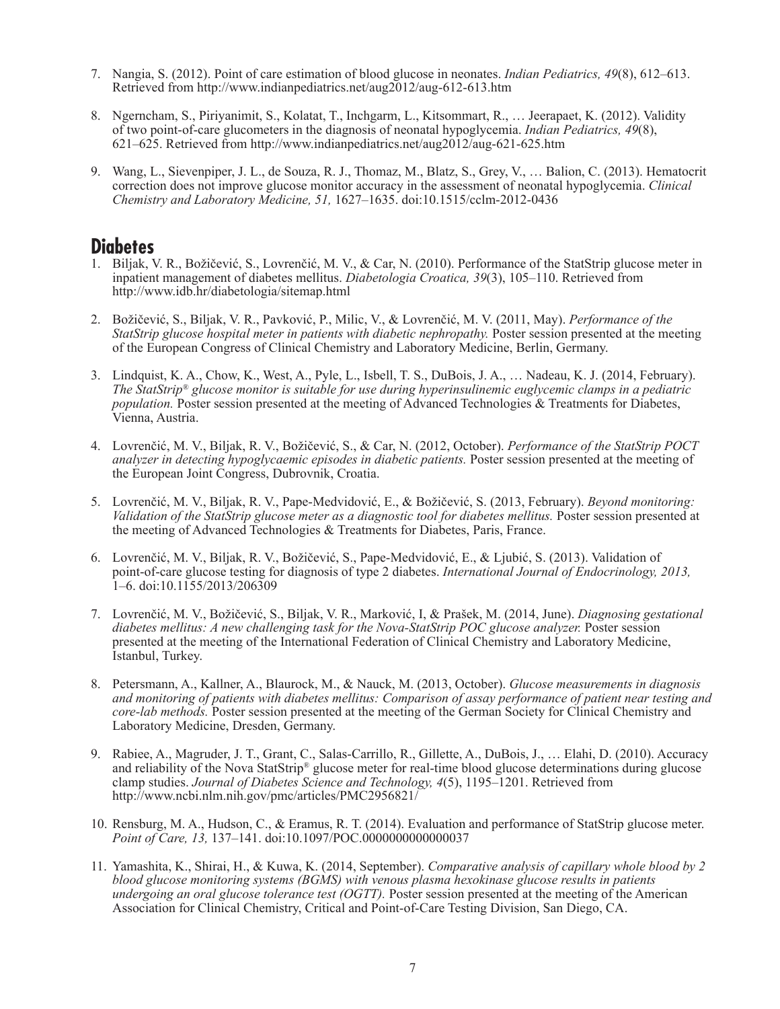- 7. Nangia, S. (2012). Point of care estimation of blood glucose in neonates. *Indian Pediatrics, 49*(8), 612–613. Retrieved from http://www.indianpediatrics.net/aug2012/aug-612-613.htm
- 8. Ngerncham, S., Piriyanimit, S., Kolatat, T., Inchgarm, L., Kitsommart, R., … Jeerapaet, K. (2012). Validity of two point-of-care glucometers in the diagnosis of neonatal hypoglycemia. *Indian Pediatrics, 49*(8), 621–625. Retrieved from http://www.indianpediatrics.net/aug2012/aug-621-625.htm
- 9. Wang, L., Sievenpiper, J. L., de Souza, R. J., Thomaz, M., Blatz, S., Grey, V., … Balion, C. (2013). Hematocrit correction does not improve glucose monitor accuracy in the assessment of neonatal hypoglycemia. *Clinical Chemistry and Laboratory Medicine, 51,* 1627–1635. doi:10.1515/cclm-2012-0436

#### **Diabetes**

- 1. Biljak, V. R., Božičević, S., Lovrenčić, M. V., & Car, N. (2010). Performance of the StatStrip glucose meter in inpatient management of diabetes mellitus. *Diabetologia Croatica, 39*(3), 105–110. Retrieved from http://www.idb.hr/diabetologia/sitemap.html
- 2. Božičević, S., Biljak, V. R., Pavković, P., Milic, V., & Lovrenčić, M. V. (2011, May). *Performance of the StatStrip glucose hospital meter in patients with diabetic nephropathy.* Poster session presented at the meeting of the European Congress of Clinical Chemistry and Laboratory Medicine, Berlin, Germany.
- 3. Lindquist, K. A., Chow, K., West, A., Pyle, L., Isbell, T. S., DuBois, J. A., … Nadeau, K. J. (2014, February). *The StatStrip® glucose monitor is suitable for use during hyperinsulinemic euglycemic clamps in a pediatric population.* Poster session presented at the meeting of Advanced Technologies & Treatments for Diabetes, Vienna, Austria.
- 4. Lovrenčić, M. V., Biljak, R. V., Božičević, S., & Car, N. (2012, October). *Performance of the StatStrip POCT analyzer in detecting hypoglycaemic episodes in diabetic patients.* Poster session presented at the meeting of the European Joint Congress, Dubrovnik, Croatia.
- 5. Lovrenčić, M. V., Biljak, R. V., Pape-Medvidović, E., & Božičević, S. (2013, February). *Beyond monitoring: Validation of the StatStrip glucose meter as a diagnostic tool for diabetes mellitus.* Poster session presented at the meeting of Advanced Technologies & Treatments for Diabetes, Paris, France.
- 6. Lovrenčić, M. V., Biljak, R. V., Božičević, S., Pape-Medvidović, E., & Ljubić, S. (2013). Validation of point-of-care glucose testing for diagnosis of type 2 diabetes. *International Journal of Endocrinology, 2013,* 1–6. doi:10.1155/2013/206309
- 7. Lovrenčić, M. V., Božičević, S., Biljak, V. R., Marković, I, & Prašek, M. (2014, June). *Diagnosing gestational diabetes mellitus: A new challenging task for the Nova-StatStrip POC glucose analyzer.* Poster session presented at the meeting of the International Federation of Clinical Chemistry and Laboratory Medicine, Istanbul, Turkey.
- 8. Petersmann, A., Kallner, A., Blaurock, M., & Nauck, M. (2013, October). *Glucose measurements in diagnosis and monitoring of patients with diabetes mellitus: Comparison of assay performance of patient near testing and core-lab methods.* Poster session presented at the meeting of the German Society for Clinical Chemistry and Laboratory Medicine, Dresden, Germany.
- 9. Rabiee, A., Magruder, J. T., Grant, C., Salas-Carrillo, R., Gillette, A., DuBois, J., … Elahi, D. (2010). Accuracy and reliability of the Nova StatStrip® glucose meter for real-time blood glucose determinations during glucose clamp studies. *Journal of Diabetes Science and Technology, 4*(5), 1195–1201. Retrieved from http://www.ncbi.nlm.nih.gov/pmc/articles/PMC2956821/
- 10. Rensburg, M. A., Hudson, C., & Eramus, R. T. (2014). Evaluation and performance of StatStrip glucose meter. *Point of Care, 13,* 137–141. doi:10.1097/POC.0000000000000037
- 11. Yamashita, K., Shirai, H., & Kuwa, K. (2014, September). *Comparative analysis of capillary whole blood by 2 blood glucose monitoring systems (BGMS) with venous plasma hexokinase glucose results in patients undergoing an oral glucose tolerance test (OGTT).* Poster session presented at the meeting of the American Association for Clinical Chemistry, Critical and Point-of-Care Testing Division, San Diego, CA.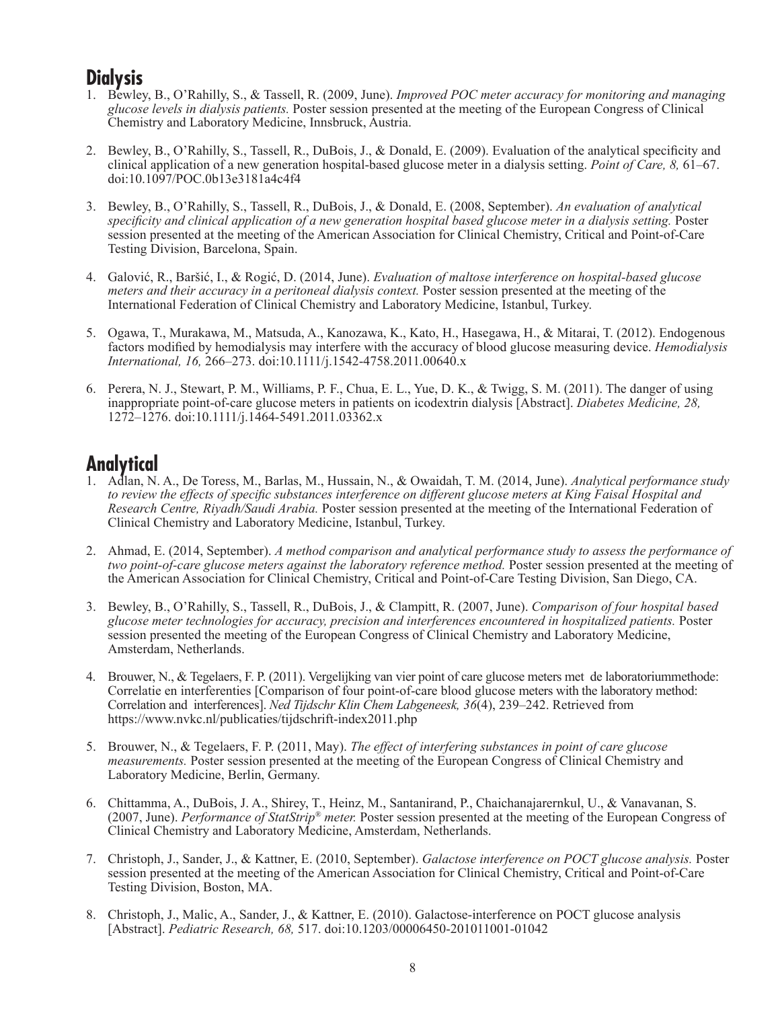## **Dialysis**

- 1. Bewley, B., O'Rahilly, S., & Tassell, R. (2009, June). *Improved POC meter accuracy for monitoring and managing glucose levels in dialysis patients.* Poster session presented at the meeting of the European Congress of Clinical Chemistry and Laboratory Medicine, Innsbruck, Austria.
- 2. Bewley, B., O'Rahilly, S., Tassell, R., DuBois, J., & Donald, E. (2009). Evaluation of the analytical specificity and clinical application of a new generation hospital-based glucose meter in a dialysis setting. *Point of Care, 8,* 61–67. doi:10.1097/POC.0b13e3181a4c4f4
- 3. Bewley, B., O'Rahilly, S., Tassell, R., DuBois, J., & Donald, E. (2008, September). *An evaluation of analytical specificity and clinical application of a new generation hospital based glucose meter in a dialysis setting.* Poster session presented at the meeting of the American Association for Clinical Chemistry, Critical and Point-of-Care Testing Division, Barcelona, Spain.
- 4. Galović, R., Baršić, I., & Rogić, D. (2014, June). *Evaluation of maltose interference on hospital-based glucose meters and their accuracy in a peritoneal dialysis context.* Poster session presented at the meeting of the International Federation of Clinical Chemistry and Laboratory Medicine, Istanbul, Turkey.
- 5. Ogawa, T., Murakawa, M., Matsuda, A., Kanozawa, K., Kato, H., Hasegawa, H., & Mitarai, T. (2012). Endogenous factors modified by hemodialysis may interfere with the accuracy of blood glucose measuring device. *Hemodialysis International, 16,* 266–273. doi:10.1111/j.1542-4758.2011.00640.x
- 6. Perera, N. J., Stewart, P. M., Williams, P. F., Chua, E. L., Yue, D. K., & Twigg, S. M. (2011). The danger of using inappropriate point-of-care glucose meters in patients on icodextrin dialysis [Abstract]. *Diabetes Medicine, 28,* 1272–1276. doi:10.1111/j.1464-5491.2011.03362.x

# **Analytical**

- 1. Adlan, N. A., De Toress, M., Barlas, M., Hussain, N., & Owaidah, T. M. (2014, June). *Analytical performance study to review the effects of specific substances interference on different glucose meters at King Faisal Hospital and Research Centre, Riyadh/Saudi Arabia.* Poster session presented at the meeting of the International Federation of Clinical Chemistry and Laboratory Medicine, Istanbul, Turkey.
- 2. Ahmad, E. (2014, September). *A method comparison and analytical performance study to assess the performance of two point-of-care glucose meters against the laboratory reference method.* Poster session presented at the meeting of the American Association for Clinical Chemistry, Critical and Point-of-Care Testing Division, San Diego, CA.
- 3. Bewley, B., O'Rahilly, S., Tassell, R., DuBois, J., & Clampitt, R. (2007, June). *Comparison of four hospital based glucose meter technologies for accuracy, precision and interferences encountered in hospitalized patients.* Poster session presented the meeting of the European Congress of Clinical Chemistry and Laboratory Medicine, Amsterdam, Netherlands.
- 4. Brouwer, N., & Tegelaers, F. P. (2011). Vergelijking van vier point of care glucose meters met de laboratoriummethode: Correlatie en interferenties [Comparison of four point-of-care blood glucose meters with the laboratory method: Correlation and interferences]. *Ned Tijdschr Klin Chem Labgeneesk, 36*(4), 239–242. Retrieved from https://www.nvkc.nl/publicaties/tijdschrift-index2011.php
- 5. Brouwer, N., & Tegelaers, F. P. (2011, May). *The effect of interfering substances in point of care glucose measurements.* Poster session presented at the meeting of the European Congress of Clinical Chemistry and Laboratory Medicine, Berlin, Germany.
- 6. Chittamma, A., DuBois, J. A., Shirey, T., Heinz, M., Santanirand, P., Chaichanajarernkul, U., & Vanavanan, S. (2007, June). *Performance of StatStrip® meter.* Poster session presented at the meeting of the European Congress of Clinical Chemistry and Laboratory Medicine, Amsterdam, Netherlands.
- 7. Christoph, J., Sander, J., & Kattner, E. (2010, September). *Galactose interference on POCT glucose analysis.* Poster session presented at the meeting of the American Association for Clinical Chemistry, Critical and Point-of-Care Testing Division, Boston, MA.
- 8. Christoph, J., Malic, A., Sander, J., & Kattner, E. (2010). Galactose-interference on POCT glucose analysis [Abstract]. *Pediatric Research, 68,* 517. doi:10.1203/00006450-201011001-01042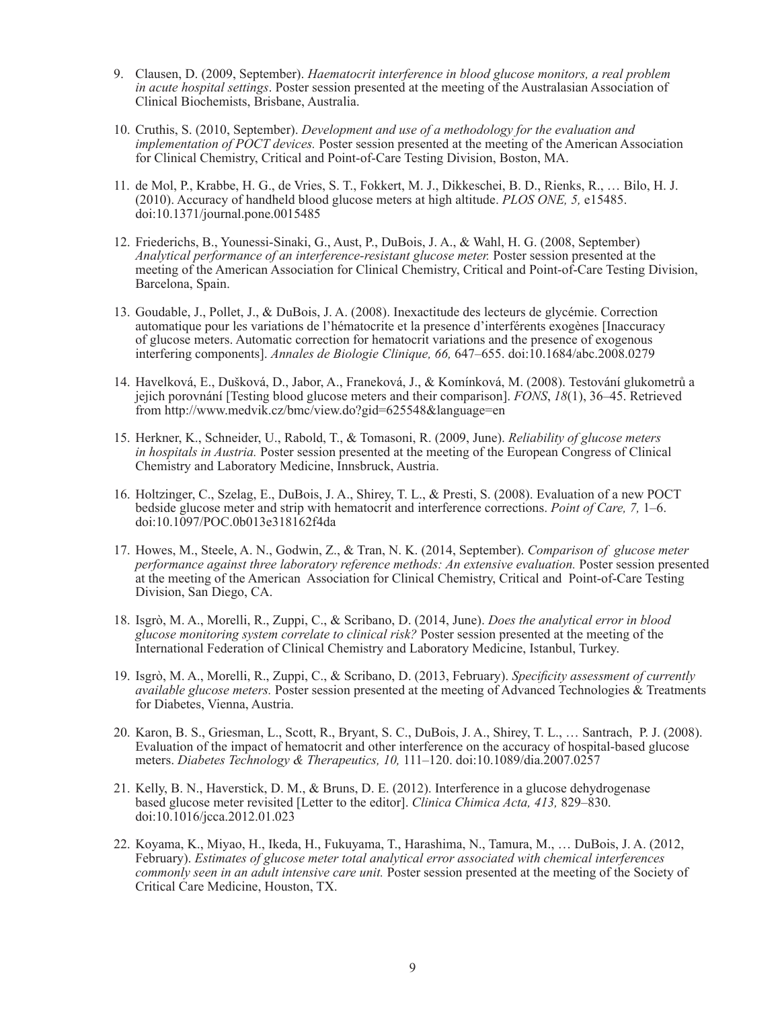- 9. Clausen, D. (2009, September). *Haematocrit interference in blood glucose monitors, a real problem in acute hospital settings*. Poster session presented at the meeting of the Australasian Association of Clinical Biochemists, Brisbane, Australia.
- 10. Cruthis, S. (2010, September). *Development and use of a methodology for the evaluation and implementation of POCT devices.* Poster session presented at the meeting of the American Association for Clinical Chemistry, Critical and Point-of-Care Testing Division, Boston, MA.
- 11. de Mol, P., Krabbe, H. G., de Vries, S. T., Fokkert, M. J., Dikkeschei, B. D., Rienks, R., … Bilo, H. J. (2010). Accuracy of handheld blood glucose meters at high altitude. *PLOS ONE, 5,* e15485. doi:10.1371/journal.pone.0015485
- 12. Friederichs, B., Younessi-Sinaki, G., Aust, P., DuBois, J. A., & Wahl, H. G. (2008, September) *Analytical performance of an interference-resistant glucose meter.* Poster session presented at the meeting of the American Association for Clinical Chemistry, Critical and Point-of-Care Testing Division, Barcelona, Spain.
- 13. Goudable, J., Pollet, J., & DuBois, J. A. (2008). Inexactitude des lecteurs de glycémie. Correction automatique pour les variations de l'hématocrite et la presence d'interférents exogènes [Inaccuracy of glucose meters. Automatic correction for hematocrit variations and the presence of exogenous interfering components]. *Annales de Biologie Clinique, 66,* 647–655. doi:10.1684/abc.2008.0279
- 14. Havelková, E., Dušková, D., Jabor, A., Franeková, J., & Komínková, M. (2008). Testování glukometrů a jejich porovnání [Testing blood glucose meters and their comparison]. *FONS*, *18*(1), 36–45. Retrieved from http://www.medvik.cz/bmc/view.do?gid=625548&language=en
- 15. Herkner, K., Schneider, U., Rabold, T., & Tomasoni, R. (2009, June). *Reliability of glucose meters in hospitals in Austria.* Poster session presented at the meeting of the European Congress of Clinical Chemistry and Laboratory Medicine, Innsbruck, Austria.
- 16. Holtzinger, C., Szelag, E., DuBois, J. A., Shirey, T. L., & Presti, S. (2008). Evaluation of a new POCT bedside glucose meter and strip with hematocrit and interference corrections. *Point of Care, 7,* 1–6. doi:10.1097/POC.0b013e318162f4da
- 17. Howes, M., Steele, A. N., Godwin, Z., & Tran, N. K. (2014, September). *Comparison of glucose meter performance against three laboratory reference methods: An extensive evaluation.* Poster session presented at the meeting of the American Association for Clinical Chemistry, Critical and Point-of-Care Testing Division, San Diego, CA.
- 18. Isgrò, M. A., Morelli, R., Zuppi, C., & Scribano, D. (2014, June). *Does the analytical error in blood glucose monitoring system correlate to clinical risk?* Poster session presented at the meeting of the International Federation of Clinical Chemistry and Laboratory Medicine, Istanbul, Turkey.
- 19. Isgrò, M. A., Morelli, R., Zuppi, C., & Scribano, D. (2013, February). *Specificity assessment of currently available glucose meters.* Poster session presented at the meeting of Advanced Technologies & Treatments for Diabetes, Vienna, Austria.
- 20. Karon, B. S., Griesman, L., Scott, R., Bryant, S. C., DuBois, J. A., Shirey, T. L., … Santrach, P. J. (2008). Evaluation of the impact of hematocrit and other interference on the accuracy of hospital-based glucose meters. *Diabetes Technology & Therapeutics, 10,* 111–120. doi:10.1089/dia.2007.0257
- 21. Kelly, B. N., Haverstick, D. M., & Bruns, D. E. (2012). Interference in a glucose dehydrogenase based glucose meter revisited [Letter to the editor]. *Clinica Chimica Acta, 413,* 829–830. doi:10.1016/jcca.2012.01.023
- 22. Koyama, K., Miyao, H., Ikeda, H., Fukuyama, T., Harashima, N., Tamura, M., … DuBois, J. A. (2012, February). *Estimates of glucose meter total analytical error associated with chemical interferences commonly seen in an adult intensive care unit.* Poster session presented at the meeting of the Society of Critical Care Medicine, Houston, TX.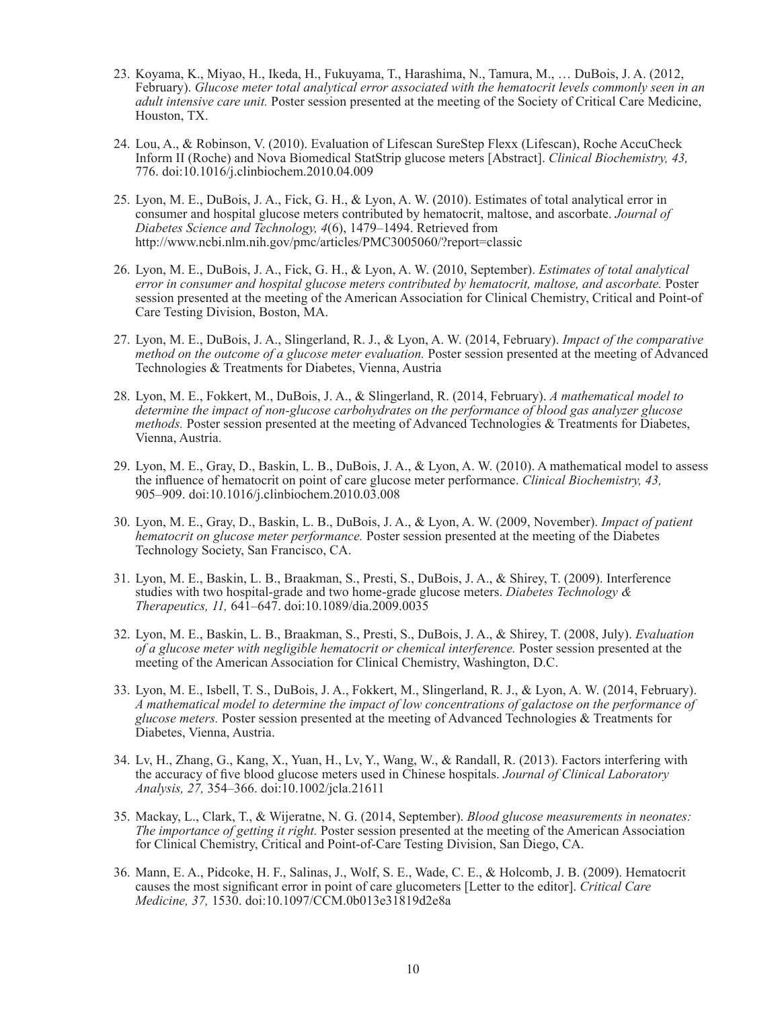- 23. Koyama, K., Miyao, H., Ikeda, H., Fukuyama, T., Harashima, N., Tamura, M., … DuBois, J. A. (2012, February). *Glucose meter total analytical error associated with the hematocrit levels commonly seen in an adult intensive care unit.* Poster session presented at the meeting of the Society of Critical Care Medicine, Houston, TX.
- 24. Lou, A., & Robinson, V. (2010). Evaluation of Lifescan SureStep Flexx (Lifescan), Roche AccuCheck Inform II (Roche) and Nova Biomedical StatStrip glucose meters [Abstract]. *Clinical Biochemistry, 43,* 776. doi:10.1016/j.clinbiochem.2010.04.009
- 25. Lyon, M. E., DuBois, J. A., Fick, G. H., & Lyon, A. W. (2010). Estimates of total analytical error in consumer and hospital glucose meters contributed by hematocrit, maltose, and ascorbate. *Journal of Diabetes Science and Technology, 4*(6), 1479–1494. Retrieved from http://www.ncbi.nlm.nih.gov/pmc/articles/PMC3005060/?report=classic
- 26. Lyon, M. E., DuBois, J. A., Fick, G. H., & Lyon, A. W. (2010, September). *Estimates of total analytical error in consumer and hospital glucose meters contributed by hematocrit, maltose, and ascorbate.* Poster session presented at the meeting of the American Association for Clinical Chemistry, Critical and Point-of Care Testing Division, Boston, MA.
- 27. Lyon, M. E., DuBois, J. A., Slingerland, R. J., & Lyon, A. W. (2014, February). *Impact of the comparative method on the outcome of a glucose meter evaluation.* Poster session presented at the meeting of Advanced Technologies & Treatments for Diabetes, Vienna, Austria
- 28. Lyon, M. E., Fokkert, M., DuBois, J. A., & Slingerland, R. (2014, February). *A mathematical model to determine the impact of non-glucose carbohydrates on the performance of blood gas analyzer glucose methods.* Poster session presented at the meeting of Advanced Technologies & Treatments for Diabetes, Vienna, Austria.
- 29. Lyon, M. E., Gray, D., Baskin, L. B., DuBois, J. A., & Lyon, A. W. (2010). A mathematical model to assess the influence of hematocrit on point of care glucose meter performance. *Clinical Biochemistry, 43,* 905–909. doi:10.1016/j.clinbiochem.2010.03.008
- 30. Lyon, M. E., Gray, D., Baskin, L. B., DuBois, J. A., & Lyon, A. W. (2009, November). *Impact of patient hematocrit on glucose meter performance.* Poster session presented at the meeting of the Diabetes Technology Society, San Francisco, CA.
- 31. Lyon, M. E., Baskin, L. B., Braakman, S., Presti, S., DuBois, J. A., & Shirey, T. (2009). Interference studies with two hospital-grade and two home-grade glucose meters. *Diabetes Technology & Therapeutics, 11,* 641–647. doi:10.1089/dia.2009.0035
- 32. Lyon, M. E., Baskin, L. B., Braakman, S., Presti, S., DuBois, J. A., & Shirey, T. (2008, July). *Evaluation of a glucose meter with negligible hematocrit or chemical interference.* Poster session presented at the meeting of the American Association for Clinical Chemistry, Washington, D.C.
- 33. Lyon, M. E., Isbell, T. S., DuBois, J. A., Fokkert, M., Slingerland, R. J., & Lyon, A. W. (2014, February). *A mathematical model to determine the impact of low concentrations of galactose on the performance of glucose meters.* Poster session presented at the meeting of Advanced Technologies & Treatments for Diabetes, Vienna, Austria.
- 34. Lv, H., Zhang, G., Kang, X., Yuan, H., Lv, Y., Wang, W., & Randall, R. (2013). Factors interfering with the accuracy of five blood glucose meters used in Chinese hospitals. *Journal of Clinical Laboratory Analysis, 27,* 354–366. doi:10.1002/jcla.21611
- 35. Mackay, L., Clark, T., & Wijeratne, N. G. (2014, September). *Blood glucose measurements in neonates: The importance of getting it right.* Poster session presented at the meeting of the American Association for Clinical Chemistry, Critical and Point-of-Care Testing Division, San Diego, CA.
- 36. Mann, E. A., Pidcoke, H. F., Salinas, J., Wolf, S. E., Wade, C. E., & Holcomb, J. B. (2009). Hematocrit causes the most significant error in point of care glucometers [Letter to the editor]. *Critical Care Medicine, 37,* 1530. doi:10.1097/CCM.0b013e31819d2e8a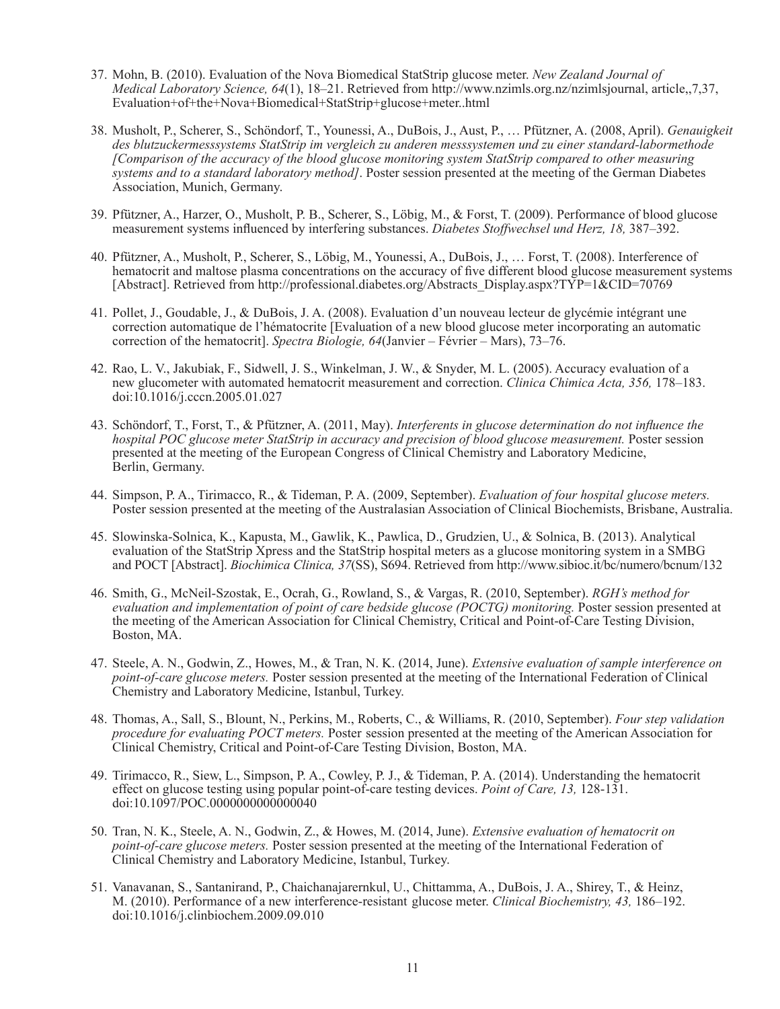- 37. Mohn, B. (2010). Evaluation of the Nova Biomedical StatStrip glucose meter. *New Zealand Journal of Medical Laboratory Science, 64*(1), 18–21. Retrieved from http://www.nzimls.org.nz/nzimlsjournal, article,,7,37, Evaluation+of+the+Nova+Biomedical+StatStrip+glucose+meter..html
- 38. Musholt, P., Scherer, S., Schöndorf, T., Younessi, A., DuBois, J., Aust, P., … Pfützner, A. (2008, April). *Genauigkeit des blutzuckermesssystems StatStrip im vergleich zu anderen messsystemen und zu einer standard-labormethode [Comparison of the accuracy of the blood glucose monitoring system StatStrip compared to other measuring systems and to a standard laboratory method]*. Poster session presented at the meeting of the German Diabetes Association, Munich, Germany.
- 39. Pfützner, A., Harzer, O., Musholt, P. B., Scherer, S., Löbig, M., & Forst, T. (2009). Performance of blood glucose measurement systems influenced by interfering substances. *Diabetes Stoffwechsel und Herz, 18,* 387–392.
- 40. Pfützner, A., Musholt, P., Scherer, S., Löbig, M., Younessi, A., DuBois, J., … Forst, T. (2008). Interference of hematocrit and maltose plasma concentrations on the accuracy of five different blood glucose measurement systems [Abstract]. Retrieved from http://professional.diabetes.org/Abstracts\_Display.aspx?TYP=1&CID=70769
- 41. Pollet, J., Goudable, J., & DuBois, J. A. (2008). Evaluation d'un nouveau lecteur de glycémie intégrant une correction automatique de l'hématocrite [Evaluation of a new blood glucose meter incorporating an automatic correction of the hematocrit]. *Spectra Biologie, 64*(Janvier – Février – Mars), 73–76.
- 42. Rao, L. V., Jakubiak, F., Sidwell, J. S., Winkelman, J. W., & Snyder, M. L. (2005). Accuracy evaluation of a new glucometer with automated hematocrit measurement and correction. *Clinica Chimica Acta, 356,* 178–183. doi:10.1016/j.cccn.2005.01.027
- 43. Schöndorf, T., Forst, T., & Pfützner, A. (2011, May). *Interferents in glucose determination do not influence the hospital POC glucose meter StatStrip in accuracy and precision of blood glucose measurement.* Poster session presented at the meeting of the European Congress of Clinical Chemistry and Laboratory Medicine, Berlin, Germany.
- 44. Simpson, P. A., Tirimacco, R., & Tideman, P. A. (2009, September). *Evaluation of four hospital glucose meters.* Poster session presented at the meeting of the Australasian Association of Clinical Biochemists, Brisbane, Australia.
- 45. Slowinska-Solnica, K., Kapusta, M., Gawlik, K., Pawlica, D., Grudzien, U., & Solnica, B. (2013). Analytical evaluation of the StatStrip Xpress and the StatStrip hospital meters as a glucose monitoring system in a SMBG and POCT [Abstract]. *Biochimica Clinica, 37*(SS), S694. Retrieved from http://www.sibioc.it/bc/numero/bcnum/132
- 46. Smith, G., McNeil-Szostak, E., Ocrah, G., Rowland, S., & Vargas, R. (2010, September). *RGH's method for evaluation and implementation of point of care bedside glucose (POCTG) monitoring.* Poster session presented at the meeting of the American Association for Clinical Chemistry, Critical and Point-of-Care Testing Division, Boston, MA.
- 47. Steele, A. N., Godwin, Z., Howes, M., & Tran, N. K. (2014, June). *Extensive evaluation of sample interference on point-of-care glucose meters.* Poster session presented at the meeting of the International Federation of Clinical Chemistry and Laboratory Medicine, Istanbul, Turkey.
- 48. Thomas, A., Sall, S., Blount, N., Perkins, M., Roberts, C., & Williams, R. (2010, September). *Four step validation procedure for evaluating POCT meters.* Poster session presented at the meeting of the American Association for Clinical Chemistry, Critical and Point-of-Care Testing Division, Boston, MA.
- 49. Tirimacco, R., Siew, L., Simpson, P. A., Cowley, P. J., & Tideman, P. A. (2014). Understanding the hematocrit effect on glucose testing using popular point-of-care testing devices. *Point of Care, 13,* 128-131. doi:10.1097/POC.0000000000000040
- 50. Tran, N. K., Steele, A. N., Godwin, Z., & Howes, M. (2014, June). *Extensive evaluation of hematocrit on point-of-care glucose meters.* Poster session presented at the meeting of the International Federation of Clinical Chemistry and Laboratory Medicine, Istanbul, Turkey.
- 51. Vanavanan, S., Santanirand, P., Chaichanajarernkul, U., Chittamma, A., DuBois, J. A., Shirey, T., & Heinz, M. (2010). Performance of a new interference-resistant glucose meter. *Clinical Biochemistry, 43,* 186–192. doi:10.1016/j.clinbiochem.2009.09.010